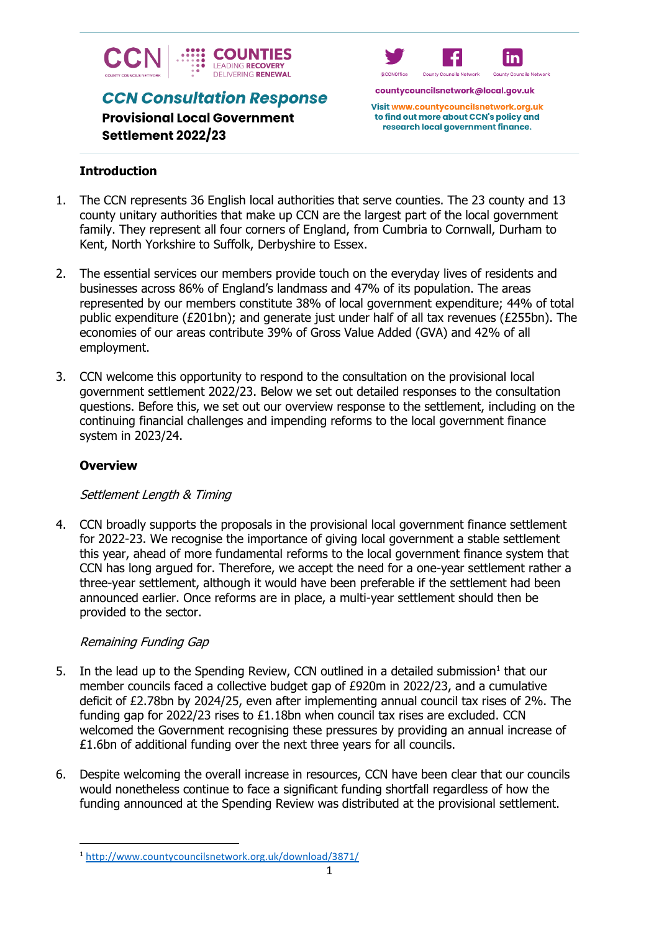

**CCN Consultation Response** 



countycouncilsnetwork@local.gov.uk

Visit www.countycouncilsnetwork.org.uk to find out more about CCN's policy and research local government finance.

# **Provisional Local Government Settlement 2022/23**

# **Introduction**

- 1. The CCN represents 36 English local authorities that serve counties. The 23 county and 13 county unitary authorities that make up CCN are the largest part of the local government family. They represent all four corners of England, from Cumbria to Cornwall, Durham to Kent, North Yorkshire to Suffolk, Derbyshire to Essex.
- 2. The essential services our members provide touch on the everyday lives of residents and businesses across 86% of England's landmass and 47% of its population. The areas represented by our members constitute 38% of local government expenditure; 44% of total public expenditure (£201bn); and generate just under half of all tax revenues (£255bn). The economies of our areas contribute 39% of Gross Value Added (GVA) and 42% of all employment.
- 3. CCN welcome this opportunity to respond to the consultation on the provisional local government settlement 2022/23. Below we set out detailed responses to the consultation questions. Before this, we set out our overview response to the settlement, including on the continuing financial challenges and impending reforms to the local government finance system in 2023/24.

# **Overview**

# Settlement Length & Timing

4. CCN broadly supports the proposals in the provisional local government finance settlement for 2022-23. We recognise the importance of giving local government a stable settlement this year, ahead of more fundamental reforms to the local government finance system that CCN has long argued for. Therefore, we accept the need for a one-year settlement rather a three-year settlement, although it would have been preferable if the settlement had been announced earlier. Once reforms are in place, a multi-year settlement should then be provided to the sector.

# Remaining Funding Gap

- 5. In the lead up to the Spending Review, CCN outlined in a detailed submission<sup>1</sup> that our member councils faced a collective budget gap of £920m in 2022/23, and a cumulative deficit of £2.78bn by 2024/25, even after implementing annual council tax rises of 2%. The funding gap for 2022/23 rises to £1.18bn when council tax rises are excluded. CCN welcomed the Government recognising these pressures by providing an annual increase of £1.6bn of additional funding over the next three years for all councils.
- 6. Despite welcoming the overall increase in resources, CCN have been clear that our councils would nonetheless continue to face a significant funding shortfall regardless of how the funding announced at the Spending Review was distributed at the provisional settlement.

<sup>1</sup> <http://www.countycouncilsnetwork.org.uk/download/3871/>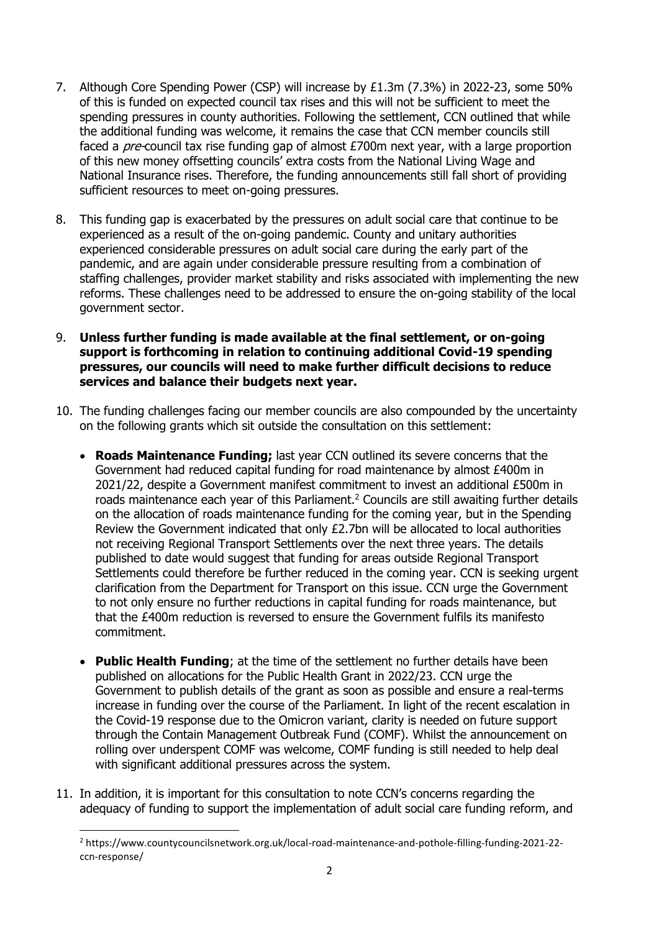- 7. Although Core Spending Power (CSP) will increase by £1.3m (7.3%) in 2022-23, some 50% of this is funded on expected council tax rises and this will not be sufficient to meet the spending pressures in county authorities. Following the settlement, CCN outlined that while the additional funding was welcome, it remains the case that CCN member councils still faced a *pre-*council tax rise funding gap of almost £700m next year, with a large proportion of this new money offsetting councils' extra costs from the National Living Wage and National Insurance rises. Therefore, the funding announcements still fall short of providing sufficient resources to meet on-going pressures.
- 8. This funding gap is exacerbated by the pressures on adult social care that continue to be experienced as a result of the on-going pandemic. County and unitary authorities experienced considerable pressures on adult social care during the early part of the pandemic, and are again under considerable pressure resulting from a combination of staffing challenges, provider market stability and risks associated with implementing the new reforms. These challenges need to be addressed to ensure the on-going stability of the local government sector.
- 9. **Unless further funding is made available at the final settlement, or on-going support is forthcoming in relation to continuing additional Covid-19 spending pressures, our councils will need to make further difficult decisions to reduce services and balance their budgets next year.**
- 10. The funding challenges facing our member councils are also compounded by the uncertainty on the following grants which sit outside the consultation on this settlement:
	- **Roads Maintenance Funding;** last year CCN outlined its severe concerns that the Government had reduced capital funding for road maintenance by almost £400m in 2021/22, despite a Government manifest commitment to invest an additional £500m in roads maintenance each year of this Parliament.<sup>2</sup> Councils are still awaiting further details on the allocation of roads maintenance funding for the coming year, but in the Spending Review the Government indicated that only £2.7bn will be allocated to local authorities not receiving Regional Transport Settlements over the next three years. The details published to date would suggest that funding for areas outside Regional Transport Settlements could therefore be further reduced in the coming year. CCN is seeking urgent clarification from the Department for Transport on this issue. CCN urge the Government to not only ensure no further reductions in capital funding for roads maintenance, but that the £400m reduction is reversed to ensure the Government fulfils its manifesto commitment.
	- **Public Health Funding**; at the time of the settlement no further details have been published on allocations for the Public Health Grant in 2022/23. CCN urge the Government to publish details of the grant as soon as possible and ensure a real-terms increase in funding over the course of the Parliament. In light of the recent escalation in the Covid-19 response due to the Omicron variant, clarity is needed on future support through the Contain Management Outbreak Fund (COMF). Whilst the announcement on rolling over underspent COMF was welcome, COMF funding is still needed to help deal with significant additional pressures across the system.
- 11. In addition, it is important for this consultation to note CCN's concerns regarding the adequacy of funding to support the implementation of adult social care funding reform, and

<sup>2</sup> https://www.countycouncilsnetwork.org.uk/local-road-maintenance-and-pothole-filling-funding-2021-22 ccn-response/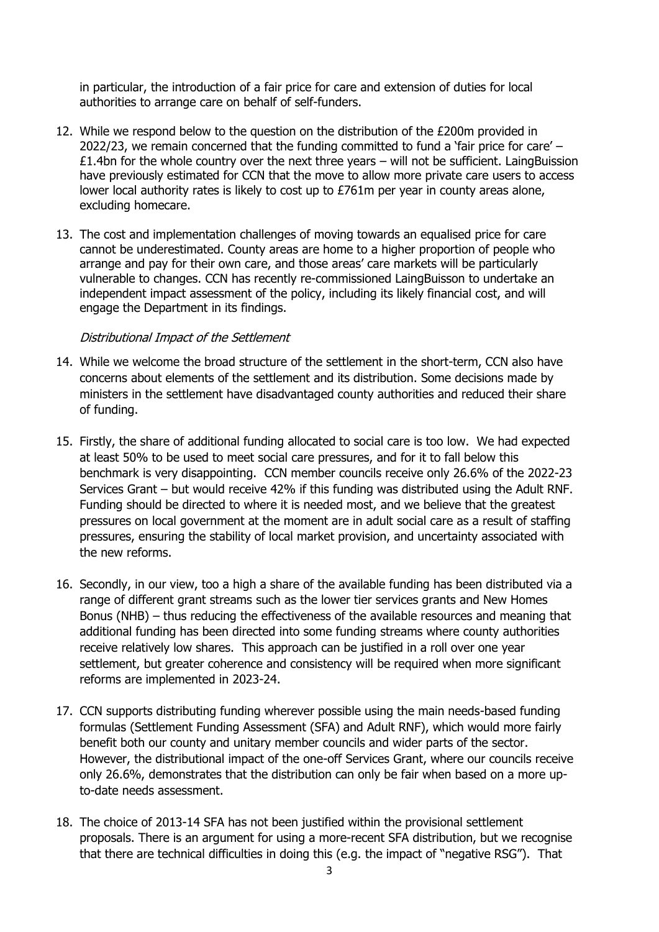in particular, the introduction of a fair price for care and extension of duties for local authorities to arrange care on behalf of self-funders.

- 12. While we respond below to the question on the distribution of the £200m provided in 2022/23, we remain concerned that the funding committed to fund a 'fair price for care' – £1.4bn for the whole country over the next three years – will not be sufficient. LaingBuission have previously estimated for CCN that the move to allow more private care users to access lower local authority rates is likely to cost up to £761m per year in county areas alone, excluding homecare.
- 13. The cost and implementation challenges of moving towards an equalised price for care cannot be underestimated. County areas are home to a higher proportion of people who arrange and pay for their own care, and those areas' care markets will be particularly vulnerable to changes. CCN has recently re-commissioned LaingBuisson to undertake an independent impact assessment of the policy, including its likely financial cost, and will engage the Department in its findings.

### Distributional Impact of the Settlement

- 14. While we welcome the broad structure of the settlement in the short-term, CCN also have concerns about elements of the settlement and its distribution. Some decisions made by ministers in the settlement have disadvantaged county authorities and reduced their share of funding.
- 15. Firstly, the share of additional funding allocated to social care is too low. We had expected at least 50% to be used to meet social care pressures, and for it to fall below this benchmark is very disappointing. CCN member councils receive only 26.6% of the 2022-23 Services Grant – but would receive 42% if this funding was distributed using the Adult RNF. Funding should be directed to where it is needed most, and we believe that the greatest pressures on local government at the moment are in adult social care as a result of staffing pressures, ensuring the stability of local market provision, and uncertainty associated with the new reforms.
- 16. Secondly, in our view, too a high a share of the available funding has been distributed via a range of different grant streams such as the lower tier services grants and New Homes Bonus (NHB) – thus reducing the effectiveness of the available resources and meaning that additional funding has been directed into some funding streams where county authorities receive relatively low shares. This approach can be justified in a roll over one year settlement, but greater coherence and consistency will be required when more significant reforms are implemented in 2023-24.
- 17. CCN supports distributing funding wherever possible using the main needs-based funding formulas (Settlement Funding Assessment (SFA) and Adult RNF), which would more fairly benefit both our county and unitary member councils and wider parts of the sector. However, the distributional impact of the one-off Services Grant, where our councils receive only 26.6%, demonstrates that the distribution can only be fair when based on a more upto-date needs assessment.
- 18. The choice of 2013-14 SFA has not been justified within the provisional settlement proposals. There is an argument for using a more-recent SFA distribution, but we recognise that there are technical difficulties in doing this (e.g. the impact of "negative RSG"). That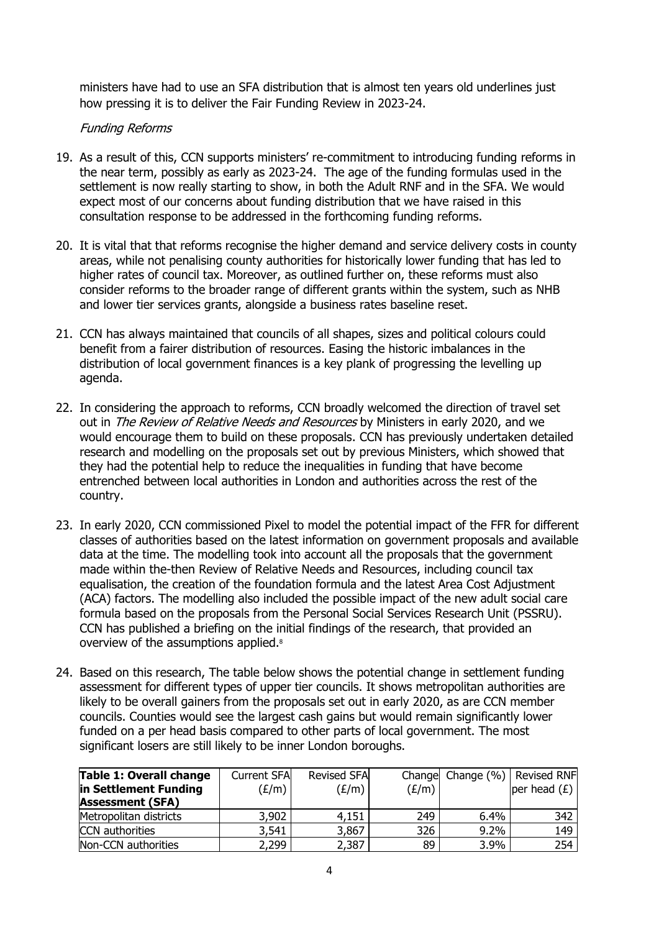ministers have had to use an SFA distribution that is almost ten years old underlines just how pressing it is to deliver the Fair Funding Review in 2023-24.

## Funding Reforms

- 19. As a result of this, CCN supports ministers' re-commitment to introducing funding reforms in the near term, possibly as early as 2023-24. The age of the funding formulas used in the settlement is now really starting to show, in both the Adult RNF and in the SFA. We would expect most of our concerns about funding distribution that we have raised in this consultation response to be addressed in the forthcoming funding reforms.
- 20. It is vital that that reforms recognise the higher demand and service delivery costs in county areas, while not penalising county authorities for historically lower funding that has led to higher rates of council tax. Moreover, as outlined further on, these reforms must also consider reforms to the broader range of different grants within the system, such as NHB and lower tier services grants, alongside a business rates baseline reset.
- 21. CCN has always maintained that councils of all shapes, sizes and political colours could benefit from a fairer distribution of resources. Easing the historic imbalances in the distribution of local government finances is a key plank of progressing the levelling up agenda.
- 22. In considering the approach to reforms, CCN broadly welcomed the direction of travel set out in *The Review of Relative Needs and Resources* by Ministers in early 2020, and we would encourage them to build on these proposals. CCN has previously undertaken detailed research and modelling on the proposals set out by previous Ministers, which showed that they had the potential help to reduce the inequalities in funding that have become entrenched between local authorities in London and authorities across the rest of the country.
- 23. In early 2020, CCN commissioned Pixel to model the potential impact of the FFR for different classes of authorities based on the latest information on government proposals and available data at the time. The modelling took into account all the proposals that the government made within the-then Review of Relative Needs and Resources, including council tax equalisation, the creation of the foundation formula and the latest Area Cost Adjustment (ACA) factors. The modelling also included the possible impact of the new adult social care formula based on the proposals from the Personal Social Services Research Unit (PSSRU). CCN has published a briefing on the initial findings of the research, that provided an overview of the assumptions applied.<sup>8</sup>
- 24. Based on this research, The table below shows the potential change in settlement funding assessment for different types of upper tier councils. It shows metropolitan authorities are likely to be overall gainers from the proposals set out in early 2020, as are CCN member councils. Counties would see the largest cash gains but would remain significantly lower funded on a per head basis compared to other parts of local government. The most significant losers are still likely to be inner London boroughs.

| <b>Table 1: Overall change</b> | <b>Current SFA</b> | <b>Revised SFA</b> |       | Change Change (%)   Revised RNF |                |
|--------------------------------|--------------------|--------------------|-------|---------------------------------|----------------|
| in Settlement Funding          | (E/m)              | (E/m)              | (E/m) |                                 | per head $(E)$ |
| <b>Assessment (SFA)</b>        |                    |                    |       |                                 |                |
| Metropolitan districts         | 3,902              | 4,151              | 249   | 6.4%                            | 342            |
| <b>CCN</b> authorities         | 3,541              | 3,867              | 326   | $9.2\%$                         | 149            |
| Non-CCN authorities            | 2,299              | 2,387              | 89    | 3.9%                            | 254            |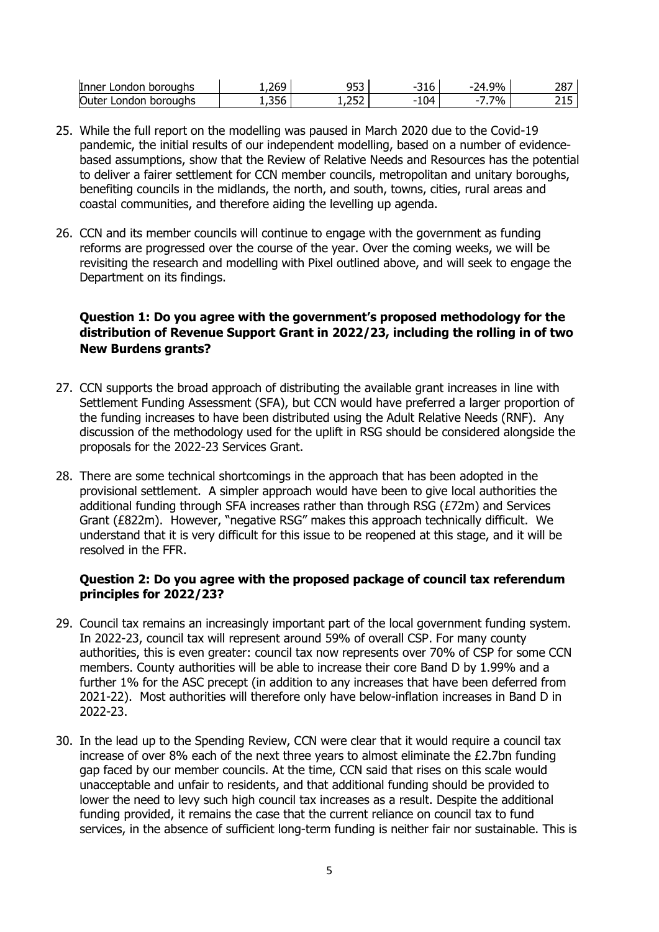| $\overline{\phantom{a}}$<br>nndon.<br>boroughs<br><b>Inner</b> | $\sim$<br>וא<br>----           | $\sim$ $\sim$ $\sim$<br>-- | ∼~<br>-<br>JIV | 9%<br>. . | דפר<br>20    |
|----------------------------------------------------------------|--------------------------------|----------------------------|----------------|-----------|--------------|
| Outer<br>boroughs<br>ondon                                     | $\sim$ $\sim$ $\sim$<br>- 50د. | つちつ<br>1, <i>LJL</i>       | ി4<br>-<br>⊥∪  | 7%        | <u>_ _ _</u> |

- 25. While the full report on the modelling was paused in March 2020 due to the Covid-19 pandemic, the initial results of our independent modelling, based on a number of evidencebased assumptions, show that the Review of Relative Needs and Resources has the potential to deliver a fairer settlement for CCN member councils, metropolitan and unitary boroughs, benefiting councils in the midlands, the north, and south, towns, cities, rural areas and coastal communities, and therefore aiding the levelling up agenda.
- 26. CCN and its member councils will continue to engage with the government as funding reforms are progressed over the course of the year. Over the coming weeks, we will be revisiting the research and modelling with Pixel outlined above, and will seek to engage the Department on its findings.

## **Question 1: Do you agree with the government's proposed methodology for the distribution of Revenue Support Grant in 2022/23, including the rolling in of two New Burdens grants?**

- 27. CCN supports the broad approach of distributing the available grant increases in line with Settlement Funding Assessment (SFA), but CCN would have preferred a larger proportion of the funding increases to have been distributed using the Adult Relative Needs (RNF). Any discussion of the methodology used for the uplift in RSG should be considered alongside the proposals for the 2022-23 Services Grant.
- 28. There are some technical shortcomings in the approach that has been adopted in the provisional settlement. A simpler approach would have been to give local authorities the additional funding through SFA increases rather than through RSG ( $E72m$ ) and Services Grant (£822m). However, "negative RSG" makes this approach technically difficult. We understand that it is very difficult for this issue to be reopened at this stage, and it will be resolved in the FFR.

### **Question 2: Do you agree with the proposed package of council tax referendum principles for 2022/23?**

- 29. Council tax remains an increasingly important part of the local government funding system. In 2022-23, council tax will represent around 59% of overall CSP. For many county authorities, this is even greater: council tax now represents over 70% of CSP for some CCN members. County authorities will be able to increase their core Band D by 1.99% and a further 1% for the ASC precept (in addition to any increases that have been deferred from 2021-22). Most authorities will therefore only have below-inflation increases in Band D in 2022-23.
- 30. In the lead up to the Spending Review, CCN were clear that it would require a council tax increase of over 8% each of the next three years to almost eliminate the  $£2.7$ bn funding gap faced by our member councils. At the time, CCN said that rises on this scale would unacceptable and unfair to residents, and that additional funding should be provided to lower the need to levy such high council tax increases as a result. Despite the additional funding provided, it remains the case that the current reliance on council tax to fund services, in the absence of sufficient long-term funding is neither fair nor sustainable. This is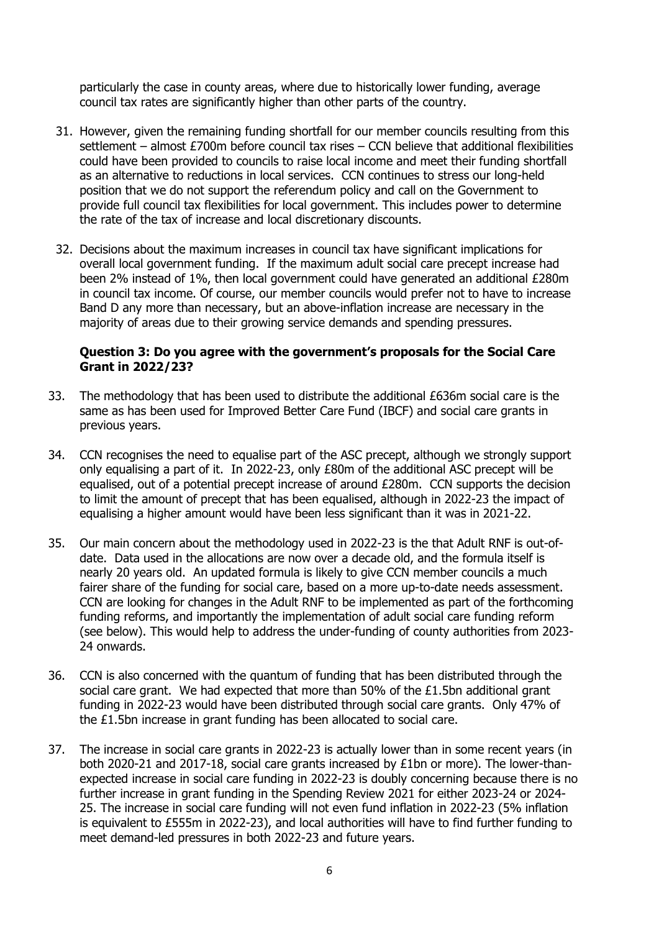particularly the case in county areas, where due to historically lower funding, average council tax rates are significantly higher than other parts of the country.

- 31. However, given the remaining funding shortfall for our member councils resulting from this settlement – almost £700m before council tax rises – CCN believe that additional flexibilities could have been provided to councils to raise local income and meet their funding shortfall as an alternative to reductions in local services. CCN continues to stress our long-held position that we do not support the referendum policy and call on the Government to provide full council tax flexibilities for local government. This includes power to determine the rate of the tax of increase and local discretionary discounts.
- 32. Decisions about the maximum increases in council tax have significant implications for overall local government funding. If the maximum adult social care precept increase had been 2% instead of 1%, then local government could have generated an additional £280m in council tax income. Of course, our member councils would prefer not to have to increase Band D any more than necessary, but an above-inflation increase are necessary in the majority of areas due to their growing service demands and spending pressures.

#### **Question 3: Do you agree with the government's proposals for the Social Care Grant in 2022/23?**

- 33. The methodology that has been used to distribute the additional £636m social care is the same as has been used for Improved Better Care Fund (IBCF) and social care grants in previous years.
- 34. CCN recognises the need to equalise part of the ASC precept, although we strongly support only equalising a part of it. In 2022-23, only £80m of the additional ASC precept will be equalised, out of a potential precept increase of around £280m. CCN supports the decision to limit the amount of precept that has been equalised, although in 2022-23 the impact of equalising a higher amount would have been less significant than it was in 2021-22.
- 35. Our main concern about the methodology used in 2022-23 is the that Adult RNF is out-ofdate. Data used in the allocations are now over a decade old, and the formula itself is nearly 20 years old. An updated formula is likely to give CCN member councils a much fairer share of the funding for social care, based on a more up-to-date needs assessment. CCN are looking for changes in the Adult RNF to be implemented as part of the forthcoming funding reforms, and importantly the implementation of adult social care funding reform (see below). This would help to address the under-funding of county authorities from 2023- 24 onwards.
- 36. CCN is also concerned with the quantum of funding that has been distributed through the social care grant. We had expected that more than  $50\%$  of the £1.5bn additional grant funding in 2022-23 would have been distributed through social care grants. Only 47% of the £1.5bn increase in grant funding has been allocated to social care.
- 37. The increase in social care grants in 2022-23 is actually lower than in some recent years (in both 2020-21 and 2017-18, social care grants increased by £1bn or more). The lower-thanexpected increase in social care funding in 2022-23 is doubly concerning because there is no further increase in grant funding in the Spending Review 2021 for either 2023-24 or 2024- 25. The increase in social care funding will not even fund inflation in 2022-23 (5% inflation is equivalent to £555m in 2022-23), and local authorities will have to find further funding to meet demand-led pressures in both 2022-23 and future years.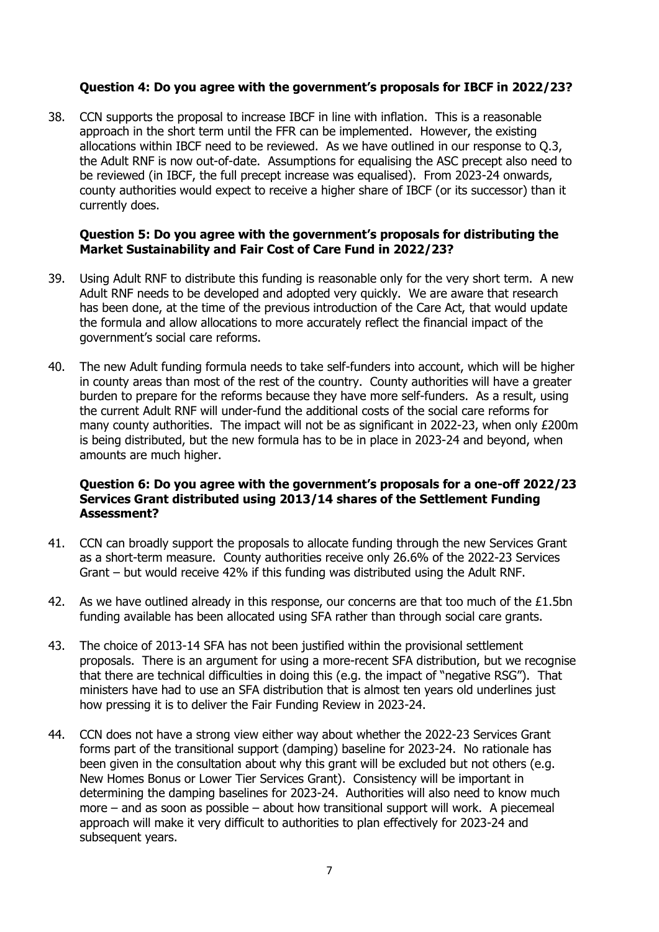### **Question 4: Do you agree with the government's proposals for IBCF in 2022/23?**

38. CCN supports the proposal to increase IBCF in line with inflation. This is a reasonable approach in the short term until the FFR can be implemented. However, the existing allocations within IBCF need to be reviewed. As we have outlined in our response to Q.3, the Adult RNF is now out-of-date. Assumptions for equalising the ASC precept also need to be reviewed (in IBCF, the full precept increase was equalised). From 2023-24 onwards, county authorities would expect to receive a higher share of IBCF (or its successor) than it currently does.

#### **Question 5: Do you agree with the government's proposals for distributing the Market Sustainability and Fair Cost of Care Fund in 2022/23?**

- 39. Using Adult RNF to distribute this funding is reasonable only for the very short term. A new Adult RNF needs to be developed and adopted very quickly. We are aware that research has been done, at the time of the previous introduction of the Care Act, that would update the formula and allow allocations to more accurately reflect the financial impact of the government's social care reforms.
- 40. The new Adult funding formula needs to take self-funders into account, which will be higher in county areas than most of the rest of the country. County authorities will have a greater burden to prepare for the reforms because they have more self-funders. As a result, using the current Adult RNF will under-fund the additional costs of the social care reforms for many county authorities. The impact will not be as significant in 2022-23, when only £200m is being distributed, but the new formula has to be in place in 2023-24 and beyond, when amounts are much higher.

#### **Question 6: Do you agree with the government's proposals for a one-off 2022/23 Services Grant distributed using 2013/14 shares of the Settlement Funding Assessment?**

- 41. CCN can broadly support the proposals to allocate funding through the new Services Grant as a short-term measure. County authorities receive only 26.6% of the 2022-23 Services Grant – but would receive 42% if this funding was distributed using the Adult RNF.
- 42. As we have outlined already in this response, our concerns are that too much of the  $£1.5$ bn funding available has been allocated using SFA rather than through social care grants.
- 43. The choice of 2013-14 SFA has not been justified within the provisional settlement proposals. There is an argument for using a more-recent SFA distribution, but we recognise that there are technical difficulties in doing this (e.g. the impact of "negative RSG"). That ministers have had to use an SFA distribution that is almost ten years old underlines just how pressing it is to deliver the Fair Funding Review in 2023-24.
- 44. CCN does not have a strong view either way about whether the 2022-23 Services Grant forms part of the transitional support (damping) baseline for 2023-24. No rationale has been given in the consultation about why this grant will be excluded but not others (e.g. New Homes Bonus or Lower Tier Services Grant). Consistency will be important in determining the damping baselines for 2023-24. Authorities will also need to know much more – and as soon as possible – about how transitional support will work. A piecemeal approach will make it very difficult to authorities to plan effectively for 2023-24 and subsequent years.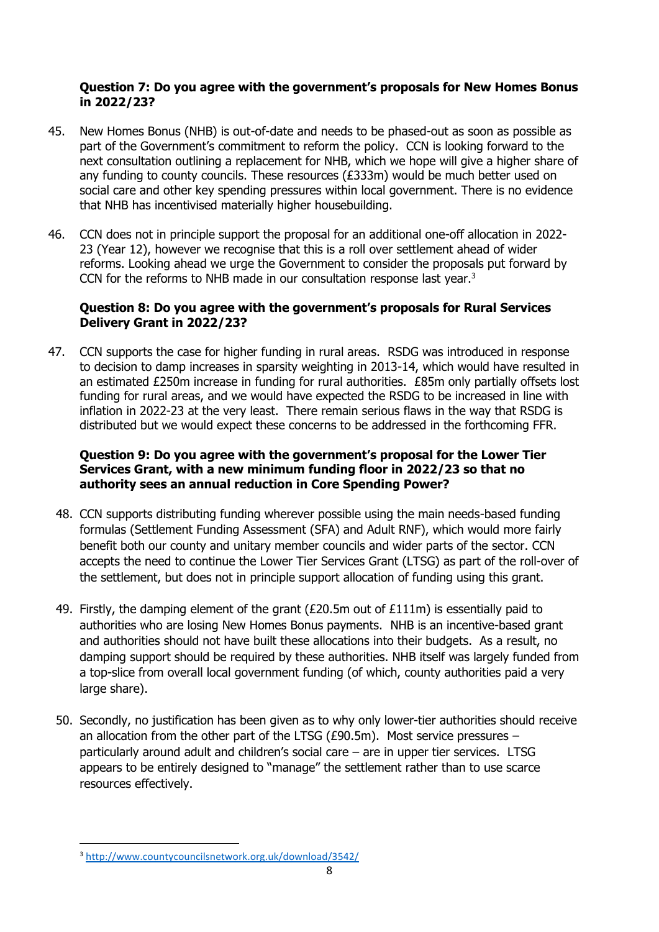#### **Question 7: Do you agree with the government's proposals for New Homes Bonus in 2022/23?**

- 45. New Homes Bonus (NHB) is out-of-date and needs to be phased-out as soon as possible as part of the Government's commitment to reform the policy. CCN is looking forward to the next consultation outlining a replacement for NHB, which we hope will give a higher share of any funding to county councils. These resources (£333m) would be much better used on social care and other key spending pressures within local government. There is no evidence that NHB has incentivised materially higher housebuilding.
- 46. CCN does not in principle support the proposal for an additional one-off allocation in 2022- 23 (Year 12), however we recognise that this is a roll over settlement ahead of wider reforms. Looking ahead we urge the Government to consider the proposals put forward by CCN for the reforms to NHB made in our consultation response last year.<sup>3</sup>

### **Question 8: Do you agree with the government's proposals for Rural Services Delivery Grant in 2022/23?**

47. CCN supports the case for higher funding in rural areas. RSDG was introduced in response to decision to damp increases in sparsity weighting in 2013-14, which would have resulted in an estimated £250m increase in funding for rural authorities. £85m only partially offsets lost funding for rural areas, and we would have expected the RSDG to be increased in line with inflation in 2022-23 at the very least. There remain serious flaws in the way that RSDG is distributed but we would expect these concerns to be addressed in the forthcoming FFR.

### **Question 9: Do you agree with the government's proposal for the Lower Tier Services Grant, with a new minimum funding floor in 2022/23 so that no authority sees an annual reduction in Core Spending Power?**

- 48. CCN supports distributing funding wherever possible using the main needs-based funding formulas (Settlement Funding Assessment (SFA) and Adult RNF), which would more fairly benefit both our county and unitary member councils and wider parts of the sector. CCN accepts the need to continue the Lower Tier Services Grant (LTSG) as part of the roll-over of the settlement, but does not in principle support allocation of funding using this grant.
- 49. Firstly, the damping element of the grant ( $E20.5m$  out of  $E111m$ ) is essentially paid to authorities who are losing New Homes Bonus payments. NHB is an incentive-based grant and authorities should not have built these allocations into their budgets. As a result, no damping support should be required by these authorities. NHB itself was largely funded from a top-slice from overall local government funding (of which, county authorities paid a very large share).
- 50. Secondly, no justification has been given as to why only lower-tier authorities should receive an allocation from the other part of the LTSG (£90.5m). Most service pressures – particularly around adult and children's social care – are in upper tier services. LTSG appears to be entirely designed to "manage" the settlement rather than to use scarce resources effectively.

<sup>3</sup> <http://www.countycouncilsnetwork.org.uk/download/3542/>